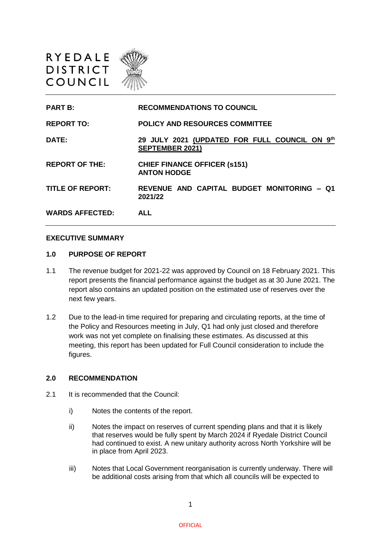

| <b>PART B:</b>          | <b>RECOMMENDATIONS TO COUNCIL</b>                                       |
|-------------------------|-------------------------------------------------------------------------|
| <b>REPORT TO:</b>       | <b>POLICY AND RESOURCES COMMITTEE</b>                                   |
| DATE:                   | 29 JULY 2021 (UPDATED FOR FULL COUNCIL ON 9th<br><b>SEPTEMBER 2021)</b> |
| <b>REPORT OF THE:</b>   | <b>CHIEF FINANCE OFFICER (s151)</b><br><b>ANTON HODGE</b>               |
| <b>TITLE OF REPORT:</b> | REVENUE AND CAPITAL BUDGET MONITORING - Q1<br>2021/22                   |
| <b>WARDS AFFECTED:</b>  | ALL                                                                     |

#### **EXECUTIVE SUMMARY**

## **1.0 PURPOSE OF REPORT**

- 1.1 The revenue budget for 2021-22 was approved by Council on 18 February 2021. This report presents the financial performance against the budget as at 30 June 2021. The report also contains an updated position on the estimated use of reserves over the next few years.
- 1.2 Due to the lead-in time required for preparing and circulating reports, at the time of the Policy and Resources meeting in July, Q1 had only just closed and therefore work was not yet complete on finalising these estimates. As discussed at this meeting, this report has been updated for Full Council consideration to include the figures.

### **2.0 RECOMMENDATION**

- 2.1 It is recommended that the Council:
	- i) Notes the contents of the report.
	- ii) Notes the impact on reserves of current spending plans and that it is likely that reserves would be fully spent by March 2024 if Ryedale District Council had continued to exist. A new unitary authority across North Yorkshire will be in place from April 2023.
	- iii) Notes that Local Government reorganisation is currently underway. There will be additional costs arising from that which all councils will be expected to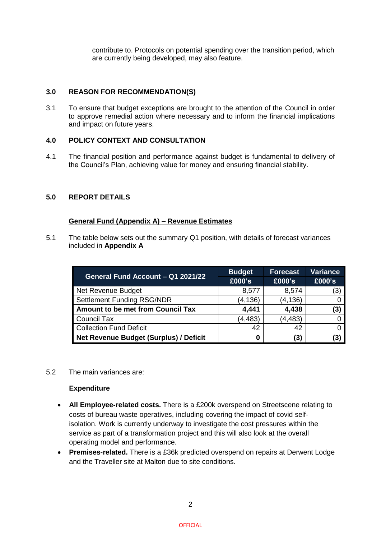contribute to. Protocols on potential spending over the transition period, which are currently being developed, may also feature.

## **3.0 REASON FOR RECOMMENDATION(S)**

3.1 To ensure that budget exceptions are brought to the attention of the Council in order to approve remedial action where necessary and to inform the financial implications and impact on future years.

## **4.0 POLICY CONTEXT AND CONSULTATION**

4.1 The financial position and performance against budget is fundamental to delivery of the Council's Plan, achieving value for money and ensuring financial stability.

## **5.0 REPORT DETAILS**

## **General Fund (Appendix A) – Revenue Estimates**

5.1 The table below sets out the summary Q1 position, with details of forecast variances included in **Appendix A**

|                                          | <b>Budget</b> | <b>Forecast</b> | <b>Variance</b> |
|------------------------------------------|---------------|-----------------|-----------------|
| General Fund Account - Q1_2021/22        | £000's        | £000's          | £000's          |
| Net Revenue Budget                       | 8,577         | 8,574           | (3)             |
| <b>Settlement Funding RSG/NDR</b>        | (4, 136)      | (4, 136)        |                 |
| <b>Amount to be met from Council Tax</b> | 4,441         | 4,438           | (3)             |
| Council Tax                              | (4, 483)      | (4, 483)        |                 |
| <b>Collection Fund Deficit</b>           | 42            | 42              |                 |
| Net Revenue Budget (Surplus) / Deficit   | 0             | (3)             | (3              |

### 5.2 The main variances are:

#### **Expenditure**

- **All Employee-related costs.** There is a £200k overspend on Streetscene relating to costs of bureau waste operatives, including covering the impact of covid selfisolation. Work is currently underway to investigate the cost pressures within the service as part of a transformation project and this will also look at the overall operating model and performance.
- **Premises-related.** There is a £36k predicted overspend on repairs at Derwent Lodge and the Traveller site at Malton due to site conditions.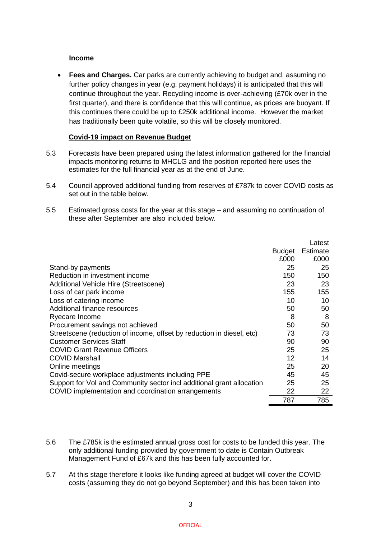## **Income**

 **Fees and Charges.** Car parks are currently achieving to budget and, assuming no further policy changes in year (e.g. payment holidays) it is anticipated that this will continue throughout the year. Recycling income is over-achieving (£70k over in the first quarter), and there is confidence that this will continue, as prices are buoyant. If this continues there could be up to £250k additional income. However the market has traditionally been quite volatile, so this will be closely monitored.

# **Covid-19 impact on Revenue Budget**

- 5.3 Forecasts have been prepared using the latest information gathered for the financial impacts monitoring returns to MHCLG and the position reported here uses the estimates for the full financial year as at the end of June.
- 5.4 Council approved additional funding from reserves of £787k to cover COVID costs as set out in the table below.
- 5.5 Estimated gross costs for the year at this stage and assuming no continuation of these after September are also included below.

|                                                                       |        | Latest   |
|-----------------------------------------------------------------------|--------|----------|
|                                                                       | Budget | Estimate |
|                                                                       | £000   | £000     |
| Stand-by payments                                                     | 25     | 25       |
| Reduction in investment income                                        | 150    | 150      |
| Additional Vehicle Hire (Streetscene)                                 | 23     | 23       |
| Loss of car park income                                               | 155    | 155      |
| Loss of catering income                                               | 10     | 10       |
| Additional finance resources                                          | 50     | 50       |
| Ryecare Income                                                        | 8      | 8        |
| Procurement savings not achieved                                      | 50     | 50       |
| Streetscene (reduction of income, offset by reduction in diesel, etc) | 73     | 73       |
| <b>Customer Services Staff</b>                                        | 90     | 90       |
| <b>COVID Grant Revenue Officers</b>                                   | 25     | 25       |
| <b>COVID Marshall</b>                                                 | 12     | 14       |
| Online meetings                                                       | 25     | 20       |
| Covid-secure workplace adjustments including PPE                      | 45     | 45       |
| Support for Vol and Community sector incl additional grant allocation | 25     | 25       |
| COVID implementation and coordination arrangements                    | 22     | 22       |
|                                                                       | 787    | 785      |

- 5.6 The £785k is the estimated annual gross cost for costs to be funded this year. The only additional funding provided by government to date is Contain Outbreak Management Fund of £67k and this has been fully accounted for.
- 5.7 At this stage therefore it looks like funding agreed at budget will cover the COVID costs (assuming they do not go beyond September) and this has been taken into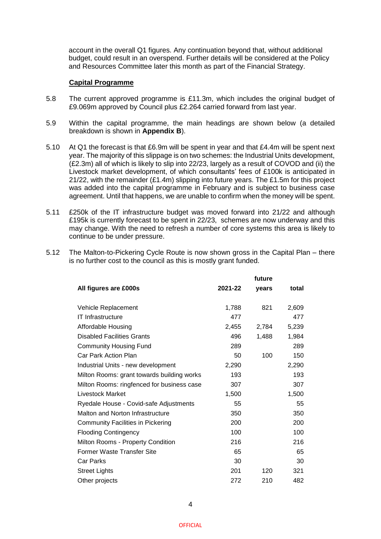account in the overall Q1 figures. Any continuation beyond that, without additional budget, could result in an overspend. Further details will be considered at the Policy and Resources Committee later this month as part of the Financial Strategy.

### **Capital Programme**

- 5.8 The current approved programme is £11.3m, which includes the original budget of £9.069m approved by Council plus £2.264 carried forward from last year.
- 5.9 Within the capital programme, the main headings are shown below (a detailed breakdown is shown in **Appendix B**).
- 5.10 At Q1 the forecast is that £6.9m will be spent in year and that £4.4m will be spent next year. The majority of this slippage is on two schemes: the Industrial Units development, (£2.3m) all of which is likely to slip into 22/23, largely as a result of COVOD and (ii) the Livestock market development, of which consultants' fees of £100k is anticipated in 21/22, with the remainder (£1.4m) slipping into future years. The £1.5m for this project was added into the capital programme in February and is subject to business case agreement. Until that happens, we are unable to confirm when the money will be spent.
- 5.11 £250k of the IT infrastructure budget was moved forward into 21/22 and although £195k is currently forecast to be spent in 22/23, schemes are now underway and this may change. With the need to refresh a number of core systems this area is likely to continue to be under pressure.
- 5.12 The Malton-to-Pickering Cycle Route is now shown gross in the Capital Plan there is no further cost to the council as this is mostly grant funded.

|                                            |         | future |       |
|--------------------------------------------|---------|--------|-------|
| All figures are £000s                      | 2021-22 | years  | total |
| Vehicle Replacement                        | 1,788   | 821    | 2,609 |
| <b>IT Infrastructure</b>                   | 477     |        | 477   |
| Affordable Housing                         | 2,455   | 2,784  | 5,239 |
| <b>Disabled Facilities Grants</b>          | 496     | 1,488  | 1,984 |
| <b>Community Housing Fund</b>              | 289     |        | 289   |
| Car Park Action Plan                       | 50      | 100    | 150   |
| Industrial Units - new development         | 2,290   |        | 2,290 |
| Milton Rooms: grant towards building works | 193     |        | 193   |
| Milton Rooms: ringfenced for business case | 307     |        | 307   |
| Livestock Market                           | 1,500   |        | 1,500 |
| Ryedale House - Covid-safe Adjustments     | 55      |        | 55    |
| Malton and Norton Infrastructure           | 350     |        | 350   |
| <b>Community Facilities in Pickering</b>   | 200     |        | 200   |
| <b>Flooding Contingency</b>                | 100     |        | 100   |
| Milton Rooms - Property Condition          | 216     |        | 216   |
| Former Waste Transfer Site                 | 65      |        | 65    |
| Car Parks                                  | 30      |        | 30    |
| <b>Street Lights</b>                       | 201     | 120    | 321   |
| Other projects                             | 272     | 210    | 482   |
|                                            |         |        |       |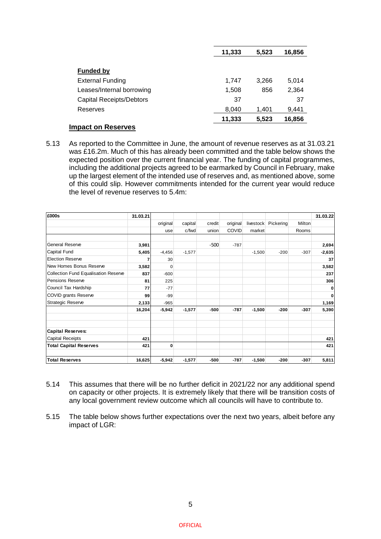|                                 | 11,333 | 5,523 | 16,856 |
|---------------------------------|--------|-------|--------|
|                                 |        |       |        |
| <b>Funded by</b>                |        |       |        |
| <b>External Funding</b>         | 1.747  | 3.266 | 5,014  |
| Leases/Internal borrowing       | 1,508  | 856   | 2,364  |
| <b>Capital Receipts/Debtors</b> | 37     |       | 37     |
| Reserves                        | 8.040  | 1.401 | 9,441  |
|                                 | 11,333 | 5,523 | 16,856 |

# **Impact on Reserves**

5.13 As reported to the Committee in June, the amount of revenue reserves as at 31.03.21 was £16.2m. Much of this has already been committed and the table below shows the expected position over the current financial year. The funding of capital programmes, including the additional projects agreed to be earmarked by Council in February, make up the largest element of the intended use of reserves and, as mentioned above, some of this could slip. However commitments intended for the current year would reduce the level of revenue reserves to 5.4m:

| £000s                                | 31.03.21 |             |          |        |              |           |           |        | 31.03.22 |
|--------------------------------------|----------|-------------|----------|--------|--------------|-----------|-----------|--------|----------|
|                                      |          | original    | capital  | credit | original     | livestock | Pickering | Milton |          |
|                                      |          | use         | c/fwd    | union  | <b>COVID</b> | market    |           | Rooms  |          |
|                                      |          |             |          |        |              |           |           |        |          |
| <b>General Reserve</b>               | 3,981    |             |          | $-500$ | $-787$       |           |           |        | 2,694    |
| Capital Fund                         | 5,405    | $-4,456$    | $-1,577$ |        |              | $-1,500$  | $-200$    | $-307$ | $-2,635$ |
| <b>Election Reserve</b>              | 7        | 30          |          |        |              |           |           |        | 37       |
| New Homes Bonus Reserve              | 3,582    | $\mathbf 0$ |          |        |              |           |           |        | 3,582    |
| Collection Fund Equalisation Reserve | 837      | $-600$      |          |        |              |           |           |        | 237      |
| Pensions Reserve                     | 81       | 225         |          |        |              |           |           |        | 306      |
| Council Tax Hardship                 | 77       | $-77$       |          |        |              |           |           |        | 0        |
| <b>COVID grants Reserve</b>          | 99       | $-99$       |          |        |              |           |           |        | 0        |
| <b>Strategic Reserve</b>             | 2,133    | $-965$      |          |        |              |           |           |        | 1,169    |
|                                      | 16,204   | $-5,942$    | $-1,577$ | $-500$ | $-787$       | $-1,500$  | $-200$    | $-307$ | 5,390    |
| <b>Capital Reserves:</b>             |          |             |          |        |              |           |           |        |          |
| <b>Capital Receipts</b>              | 421      |             |          |        |              |           |           |        | 421      |
| <b>Total Capital Reserves</b>        | 421      | $\mathbf 0$ |          |        |              |           |           |        | 421      |
| <b>Total Reserves</b>                | 16,625   | $-5,942$    | $-1,577$ | $-500$ | $-787$       | $-1,500$  | $-200$    | $-307$ | 5,811    |

- 5.14 This assumes that there will be no further deficit in 2021/22 nor any additional spend on capacity or other projects. It is extremely likely that there will be transition costs of any local government review outcome which all councils will have to contribute to.
- 5.15 The table below shows further expectations over the next two years, albeit before any impact of LGR: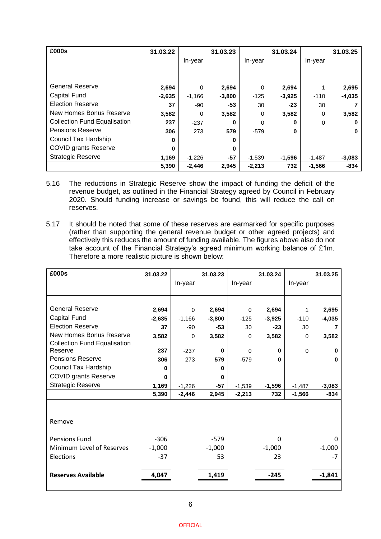| £000s                               | 31.03.22 |          | 31.03.23 |          | 31.03.24 |          | 31.03.25 |
|-------------------------------------|----------|----------|----------|----------|----------|----------|----------|
|                                     |          | In-year  |          | In-year  |          | In-year  |          |
|                                     |          |          |          |          |          |          |          |
|                                     |          |          |          |          |          |          |          |
| <b>General Reserve</b>              | 2,694    | $\Omega$ | 2,694    | $\Omega$ | 2,694    |          | 2,695    |
| <b>Capital Fund</b>                 | $-2,635$ | $-1,166$ | $-3,800$ | $-125$   | $-3,925$ | $-110$   | $-4,035$ |
| <b>Election Reserve</b>             | 37       | -90      | -53      | 30       | $-23$    | 30       |          |
| New Homes Bonus Reserve             | 3,582    | $\Omega$ | 3,582    | $\Omega$ | 3,582    | 0        | 3,582    |
| <b>Collection Fund Equalisation</b> | 237      | $-237$   | 0        | $\Omega$ | 0        | $\Omega$ | o        |
| <b>Pensions Reserve</b>             | 306      | 273      | 579      | $-579$   | $\bf{0}$ |          | 0        |
| <b>Council Tax Hardship</b>         | 0        |          | 0        |          |          |          |          |
| <b>COVID grants Reserve</b>         | 0        |          | 0        |          |          |          |          |
| <b>Strategic Reserve</b>            | 1,169    | $-1,226$ | -57      | $-1,539$ | $-1,596$ | $-1,487$ | $-3,083$ |
|                                     | 5,390    | $-2,446$ | 2,945    | $-2,213$ | 732      | $-1,566$ | $-834$   |

- 5.16 The reductions in Strategic Reserve show the impact of funding the deficit of the revenue budget, as outlined in the Financial Strategy agreed by Council in February 2020. Should funding increase or savings be found, this will reduce the call on reserves.
- 5.17 It should be noted that some of these reserves are earmarked for specific purposes (rather than supporting the general revenue budget or other agreed projects) and effectively this reduces the amount of funding available. The figures above also do not take account of the Financial Strategy's agreed minimum working balance of £1m. Therefore a more realistic picture is shown below:

| £000s                               | 31.03.22 |          | 31.03.23 |          | 31.03.24 |             | 31.03.25 |
|-------------------------------------|----------|----------|----------|----------|----------|-------------|----------|
|                                     |          | In-year  |          | In-year  |          | In-year     |          |
|                                     |          |          |          |          |          |             |          |
|                                     |          |          |          |          |          |             |          |
| <b>General Reserve</b>              | 2,694    | 0        | 2,694    | $\Omega$ | 2,694    | 1           | 2,695    |
| Capital Fund                        | $-2,635$ | $-1,166$ | $-3,800$ | $-125$   | $-3,925$ | $-110$      | $-4,035$ |
| <b>Election Reserve</b>             | 37       | -90      | $-53$    | 30       | $-23$    | 30          | 7        |
| <b>New Homes Bonus Reserve</b>      | 3,582    | $\Omega$ | 3,582    | $\Omega$ | 3,582    | $\Omega$    | 3,582    |
| <b>Collection Fund Equalisation</b> |          |          |          |          |          |             |          |
| Reserve                             | 237      | $-237$   | $\bf{0}$ | $\Omega$ | 0        | $\mathbf 0$ | $\bf{0}$ |
| <b>Pensions Reserve</b>             | 306      | 273      | 579      | $-579$   | $\bf{0}$ |             | $\bf{0}$ |
| Council Tax Hardship                | 0        |          | $\bf{0}$ |          |          |             |          |
| <b>COVID grants Reserve</b>         | $\bf{0}$ |          | $\bf{0}$ |          |          |             |          |
| <b>Strategic Reserve</b>            | 1,169    | $-1,226$ | $-57$    | $-1,539$ | $-1,596$ | $-1,487$    | $-3,083$ |
|                                     | 5,390    | $-2,446$ | 2,945    | $-2,213$ | 732      | $-1,566$    | $-834$   |
|                                     |          |          |          |          |          |             |          |
|                                     |          |          |          |          |          |             |          |
| Remove                              |          |          |          |          |          |             |          |
|                                     |          |          |          |          |          |             |          |
| <b>Pensions Fund</b>                | $-306$   |          | $-579$   |          | $\Omega$ |             | 0        |
| Minimum Level of Reserves           | $-1,000$ |          | $-1,000$ |          | $-1,000$ |             | $-1,000$ |
| Elections                           | $-37$    |          | 53       |          | 23       |             | $-7$     |
|                                     |          |          |          |          |          |             |          |
| <b>Reserves Available</b>           | 4,047    |          | 1,419    |          | $-245$   |             | $-1,841$ |
|                                     |          |          |          |          |          |             |          |